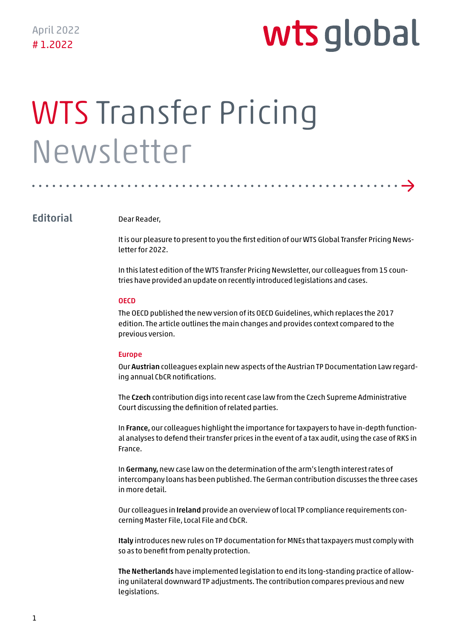→

# WTS Transfer Pricing Newsletter

# **Editorial**

Dear Reader,

It is our pleasure to present to you the first edition of our WTS Global Transfer Pricing Newsletter for 2022.

In this latest edition of the WTS Transfer Pricing Newsletter, our colleagues from 15 countries have provided an update on recently introduced legislations and cases.

#### **OECD**

The OECD published the new version of its OECD Guidelines, which replaces the 2017 edition. The article outlines the main changes and provides context compared to the previous version.

#### Europe

Our Austrian colleagues explain new aspects of the Austrian TP Documentation Law regarding annual CbCR notifications.

The Czech contribution digs into recent case law from the Czech Supreme Administrative Court discussing the definition of related parties.

In France, our colleagues highlight the importance for taxpayers to have in-depth functional analyses to defend their transfer prices in the event of a tax audit, using the case of RKS in France.

In Germany, new case law on the determination of the arm's length interest rates of intercompany loans has been published. The German contribution discusses the three cases in more detail.

Our colleagues in Ireland provide an overview of local TP compliance requirements concerning Master File, Local File and CbCR.

Italy introduces new rules on TP documentation for MNEs that taxpayers must comply with so as to benefit from penalty protection.

The Netherlands have implemented legislation to end its long-standing practice of allowing unilateral downward TP adjustments. The contribution compares previous and new legislations.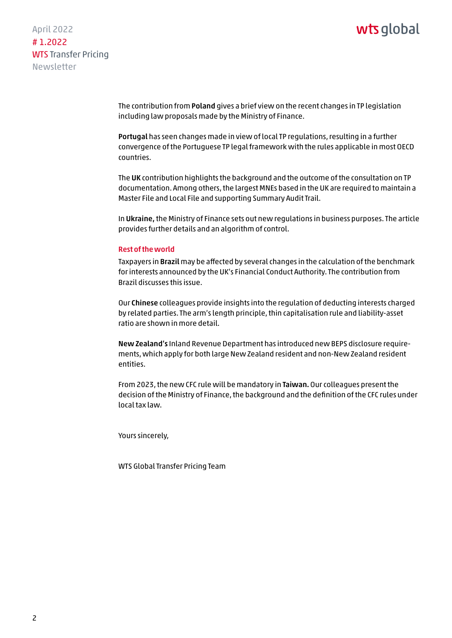April 2022 # 1.2022 WTS Transfer Pricing Newsletter

> The contribution from Poland gives a brief view on the recent changes in TP legislation including law proposals made by the Ministry of Finance.

Portugal has seen changes made in view of local TP regulations, resulting in a further convergence of the Portuguese TP legal framework with the rules applicable in most OECD countries.

The UK contribution highlights the background and the outcome of the consultation on TP documentation. Among others, the largest MNEs based in the UK are required to maintain a Master File and Local File and supporting Summary Audit Trail.

In Ukraine, the Ministry of Finance sets out new regulations in business purposes. The article provides further details and an algorithm of control.

#### Rest of the world

Taxpayers in Brazil may be affected by several changes in the calculation of the benchmark for interests announced by the UK's Financial Conduct Authority. The contribution from Brazil discusses this issue.

Our Chinese colleagues provide insights into the regulation of deducting interests charged by related parties. The arm's length principle, thin capitalisation rule and liability-asset ratio are shown in more detail.

New Zealand's Inland Revenue Department has introduced new BEPS disclosure requirements, which apply for both large New Zealand resident and non-New Zealand resident entities.

From 2023, the new CFC rule will be mandatory in Taiwan. Our colleagues present the decision of the Ministry of Finance, the background and the definition of the CFC rules under local tax law.

Yours sincerely,

WTS Global Transfer Pricing Team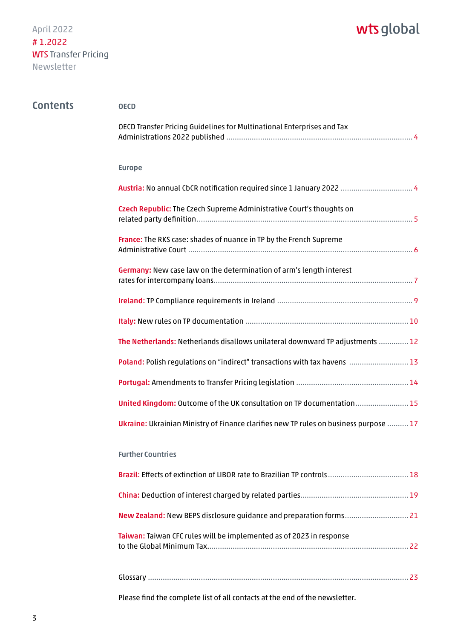| <b>Contents</b> | <b>OECD</b>                                                                           |
|-----------------|---------------------------------------------------------------------------------------|
|                 | OECD Transfer Pricing Guidelines for Multinational Enterprises and Tax                |
|                 | <b>Europe</b>                                                                         |
|                 |                                                                                       |
|                 | Czech Republic: The Czech Supreme Administrative Court's thoughts on                  |
|                 | France: The RKS case: shades of nuance in TP by the French Supreme                    |
|                 | Germany: New case law on the determination of arm's length interest                   |
|                 |                                                                                       |
|                 |                                                                                       |
|                 | The Netherlands: Netherlands disallows unilateral downward TP adjustments  12         |
|                 | Poland: Polish regulations on "indirect" transactions with tax havens  13             |
|                 |                                                                                       |
|                 | United Kingdom: Outcome of the UK consultation on TP documentation 15                 |
|                 | Ukraine: Ukrainian Ministry of Finance clarifies new TP rules on business purpose  17 |
|                 | <b>Further Countries</b>                                                              |
|                 |                                                                                       |
|                 |                                                                                       |
|                 |                                                                                       |
|                 | Taiwan: Taiwan CFC rules will be implemented as of 2023 in response                   |
|                 |                                                                                       |

[Please find the complete list of all contacts at the end of the newsletter.](#page-23-0)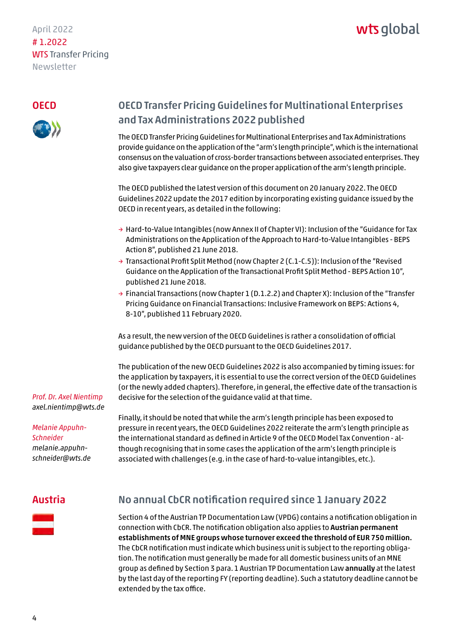# <span id="page-3-0"></span>April 2022 # 1.2022 WTS Transfer Pricing Newsletter

### **OECD**



# OECD Transfer Pricing Guidelines for Multinational Enterprises and Tax Administrations 2022 published

The OECD Transfer Pricing Guidelines for Multinational Enterprises and Tax Administrations provide guidance on the application of the "arm's length principle", which is the international consensus on the valuation of cross-border transactions between associated enterprises. They also give taxpayers clear guidance on the proper application of the arm's length principle.

The OECD published the latest version of this document on 20 January 2022. The OECD Guidelines 2022 update the 2017 edition by incorporating existing guidance issued by the OECD in recent years, as detailed in the following:

- → Hard-to-Value Intangibles (now Annex II of Chapter VI): Inclusion of the "Guidance for Tax Administrations on the Application of the Approach to Hard-to-Value Intangibles - BEPS Action 8", published 21 June 2018.
- → Transactional Profit Split Method (now Chapter 2 (C.1-C.5)): Inclusion of the "Revised Guidance on the Application of the Transactional Profit Split Method - BEPS Action 10", published 21 June 2018.
- → Financial Transactions (now Chapter 1 (D.1.2.2) and Chapter X): Inclusion of the "Transfer Pricing Guidance on Financial Transactions: Inclusive Framework on BEPS: Actions 4, 8-10", published 11 February 2020.

As a result, the new version of the OECD Guidelines is rather a consolidation of official guidance published by the OECD pursuant to the OECD Guidelines 2017.

The publication of the new OECD Guidelines 2022 is also accompanied by timing issues: for the application by taxpayers, it is essential to use the correct version of the OECD Guidelines (or the newly added chapters). Therefore, in general, the effective date of the transaction is decisive for the selection of the guidance valid at that time.

*Prof. Dr. Axel Nientimp axel.nientimp@wts.de* 

*Melanie Appuhn-Schneider melanie.appuhn[schneider@wts.de](mailto:melanie.appuhn-schneider@wts.de)* Finally, it should be noted that while the arm's length principle has been exposed to pressure in recent years, the OECD Guidelines 2022 reiterate the arm's length principle as the international standard as defined in Article 9 of the OECD Model Tax Convention - although recognising that in some cases the application of the arm's length principle is associated with challenges (e.g. in the case of hard-to-value intangibles, etc.).

# Austria



# No annual CbCR notification required since 1 January 2022

Section 4 of the Austrian TP Documentation Law (VPDG) contains a notification obligation in connection with CbCR. The notification obligation also applies to Austrian permanent establishments of MNE groups whose turnover exceed the threshold of EUR 750 million. The CbCR notification must indicate which business unit is subject to the reporting obligation. The notification must generally be made for all domestic business units of an MNE group as defined by Section 3 para. 1 Austrian TP Documentation Law annually at the latest by the last day of the reporting FY (reporting deadline). Such a statutory deadline cannot be extended by the tax office.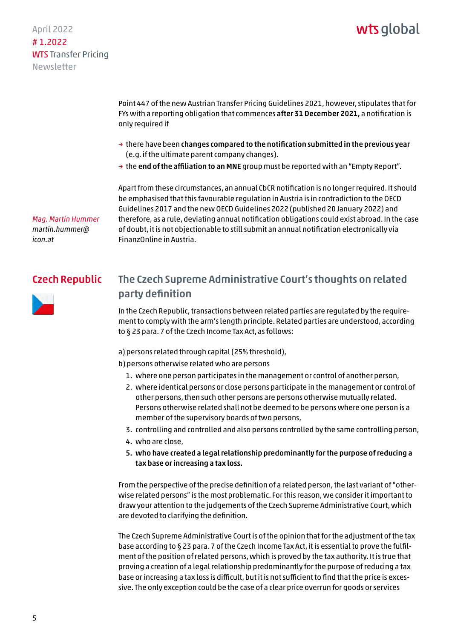# wts alobal

<span id="page-4-0"></span>Point 447 of the new Austrian Transfer Pricing Guidelines 2021, however, stipulates that for FYs with a reporting obligation that commences after 31 December 2021, a notification is only required if

- $\rightarrow$  there have been changes compared to the notification submitted in the previous year (e.g. if the ultimate parent company changes).
- $\rightarrow$  the end of the affiliation to an MNE group must be reported with an "Empty Report".

Apart from these circumstances, an annual CbCR notification is no longer required. It should be emphasised that this favourable regulation in Austria is in contradiction to the OECD Guidelines 2017 and the new OECD Guidelines 2022 (published 20 January 2022) and therefore, as a rule, deviating annual notification obligations could exist abroad. In the case of doubt, it is not objectionable to still submit an annual notification electronically via FinanzOnline in Austria.

# Czech Republic

*Mag. Martin Hummer [martin.hummer@](mailto:martin.hummer@icon.at)*



*icon.at*

# The Czech Supreme Administrative Court's thoughts on related party definition

In the Czech Republic, transactions between related parties are regulated by the requirement to comply with the arm's length principle. Related parties are understood, according to § 23 para. 7 of the Czech Income Tax Act, as follows:

a) persons related through capital (25% threshold),

- b) persons otherwise related who are persons
	- 1. where one person participates in the management or control of another person,
	- 2. where identical persons or close persons participate in the management or control of other persons, then such other persons are persons otherwise mutually related. Persons otherwise related shall not be deemed to be persons where one person is a member of the supervisory boards of two persons,
	- 3. controlling and controlled and also persons controlled by the same controlling person,
	- 4. who are close,
	- 5. who have created a legal relationship predominantly for the purpose of reducing a tax base or increasing a tax loss.

From the perspective of the precise definition of a related person, the last variant of "otherwise related persons" is the most problematic. For this reason, we consider it important to draw your attention to the judgements of the Czech Supreme Administrative Court, which are devoted to clarifying the definition.

The Czech Supreme Administrative Court is of the opinion that for the adjustment of the tax base according to § 23 para. 7 of the Czech Income Tax Act, it is essential to prove the fulfilment of the position of related persons, which is proved by the tax authority. It is true that proving a creation of a legal relationship predominantly for the purpose of reducing a tax base or increasing a tax loss is difficult, but it is not sufficient to find that the price is excessive. The only exception could be the case of a clear price overrun for goods or services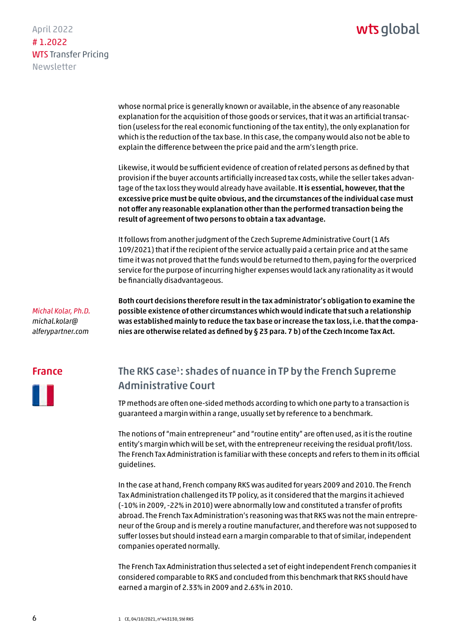<span id="page-5-0"></span>April 2022 # 1.2022 WTS Transfer Pricing Newsletter

> whose normal price is generally known or available, in the absence of any reasonable explanation for the acquisition of those goods or services, that it was an artificial transaction (useless for the real economic functioning of the tax entity), the only explanation for which is the reduction of the tax base. In this case, the company would also not be able to explain the difference between the price paid and the arm's length price.

Likewise, it would be sufficient evidence of creation of related persons as defined by that provision if the buyer accounts artificially increased tax costs, while the seller takes advantage of the tax loss they would already have available. It is essential, however, that the excessive price must be quite obvious, and the circumstances of the individual case must not offer any reasonable explanation other than the performed transaction being the result of agreement of two persons to obtain a tax advantage.

It follows from another judgment of the Czech Supreme Administrative Court (1 Afs 109/2021) that if the recipient of the service actually paid a certain price and at the same time it was not proved that the funds would be returned to them, paying for the overpriced service for the purpose of incurring higher expenses would lack any rationality as it would be financially disadvantageous.

*Michal Kolar, Ph.D. michal.kolar@ [alferypartner.com](mailto:michal.kolar@alferypartner.com)*

Both court decisions therefore result in the tax administrator's obligation to examine the possible existence of other circumstances which would indicate that such a relationship was established mainly to reduce the tax base or increase the tax loss, i.e. that the companies are otherwise related as defined by § 23 para. 7 b) of the Czech Income Tax Act.

### France



# The RKS case<sup>1</sup>: shades of nuance in TP by the French Supreme Administrative Court

TP methods are often one-sided methods according to which one party to a transaction is guaranteed a margin within a range, usually set by reference to a benchmark.

The notions of "main entrepreneur" and "routine entity" are often used, as it is the routine entity's margin which will be set, with the entrepreneur receiving the residual profit/loss. The French Tax Administration is familiar with these concepts and refers to them in its official guidelines.

In the case at hand, French company RKS was audited for years 2009 and 2010. The French Tax Administration challenged its TP policy, as it considered that the margins it achieved (-10% in 2009, -22% in 2010) were abnormally low and constituted a transfer of profits abroad. The French Tax Administration's reasoning was that RKS was not the main entrepreneur of the Group and is merely a routine manufacturer, and therefore was not supposed to suffer losses but should instead earn a margin comparable to that of similar, independent companies operated normally.

The French Tax Administration thus selected a set of eight independent French companies it considered comparable to RKS and concluded from this benchmark that RKS should have earned a margin of 2.33% in 2009 and 2.63% in 2010.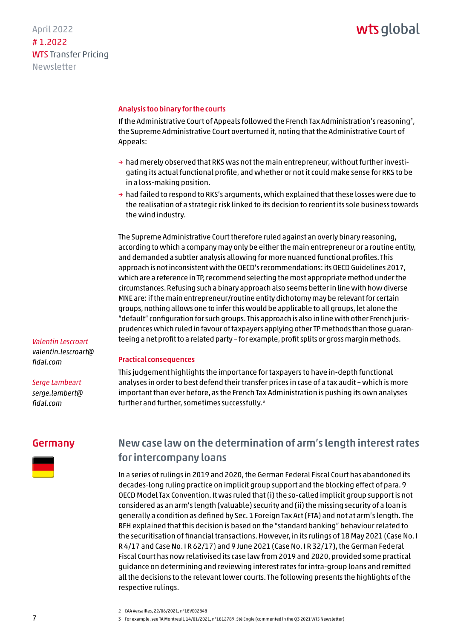<span id="page-6-0"></span>April 2022 # 1.2022 WTS Transfer Pricing Newsletter

#### Analysis too binary for the courts

If the Administrative Court of Appeals followed the French Tax Administration's reasoning?, the Supreme Administrative Court overturned it, noting that the Administrative Court of Appeals:

- $\rightarrow$  had merely observed that RKS was not the main entrepreneur, without further investigating its actual functional profile, and whether or not it could make sense for RKS to be in a loss-making position.
- $\rightarrow$  had failed to respond to RKS's arguments, which explained that these losses were due to the realisation of a strategic risk linked to its decision to reorient its sole business towards the wind industry.

The Supreme Administrative Court therefore ruled against an overly binary reasoning, according to which a company may only be either the main entrepreneur or a routine entity, and demanded a subtler analysis allowing for more nuanced functional profiles. This approach is not inconsistent with the OECD's recommendations: its OECD Guidelines 2017, which are a reference in TP, recommend selecting the most appropriate method under the circumstances. Refusing such a binary approach also seems better in line with how diverse MNE are: if the main entrepreneur/routine entity dichotomy may be relevant for certain groups, nothing allows one to infer this would be applicable to all groups, let alone the "default" configuration for such groups. This approach is also in line with other French jurisprudences which ruled in favour of taxpayers applying other TP methods than those guaranteeing a net profit to a related party – for example, profit splits or gross margin methods.

#### Practical consequences

This judgement highlights the importance for taxpayers to have in-depth functional analyses in order to best defend their transfer prices in case of a tax audit – which is more important than ever before, as the French Tax Administration is pushing its own analyses further and further, sometimes successfully.3

#### Germany

*Valentin Lescroart [valentin.lescroart@](mailto:valentin.lescroart@fidal.com)*

*Serge Lambeart [serge.lambert@](mailto:serge.lambert@fidal.com) fidal.com* 

*fidal.com*



# New case law on the determination of arm's length interest rates for intercompany loans

In a series of rulings in 2019 and 2020, the German Federal Fiscal Court has abandoned its decades-long ruling practice on implicit group support and the blocking effect of para. 9 OECD Model Tax Convention. It was ruled that (i) the so-called implicit group support is not considered as an arm's length (valuable) security and (ii) the missing security of a loan is generally a condition as defined by Sec. 1 Foreign Tax Act (FTA) and not at arm's length. The BFH explained that this decision is based on the "standard banking" behaviour related to the securitisation of financial transactions. However, in its rulings of 18 May 2021 (Case No. I R 4/17 and Case No. I R 62/17) and 9 June 2021 (Case No. I R 32/17), the German Federal Fiscal Court has now relativised its case law from 2019 and 2020, provided some practical guidance on determining and reviewing interest rates for intra-group loans and remitted all the decisions to the relevant lower courts. The following presents the highlights of the respective rulings.

3 For example, see TA Montreuil, 14/01/2021, n°1812789, Sté Engie (commented in the Q3 2021 WTS Newsletter)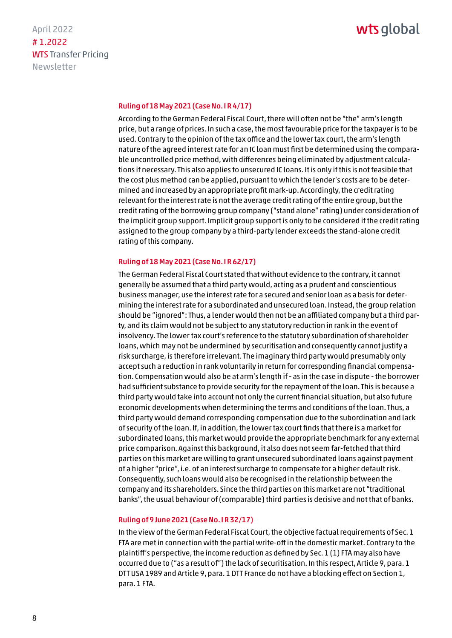# wts alobal

#### Ruling of 18 May 2021 (Case No. I R 4/17)

According to the German Federal Fiscal Court, there will often not be "the" arm's length price, but a range of prices. In such a case, the most favourable price for the taxpayer is to be used. Contrary to the opinion of the tax office and the lower tax court, the arm's length nature of the agreed interest rate for an IC loan must first be determined using the comparable uncontrolled price method, with differences being eliminated by adjustment calculations if necessary. This also applies to unsecured IC loans. It is only if this is not feasible that the cost plus method can be applied, pursuant to which the lender's costs are to be determined and increased by an appropriate profit mark-up. Accordingly, the credit rating relevant for the interest rate is not the average credit rating of the entire group, but the credit rating of the borrowing group company ("stand alone" rating) under consideration of the implicit group support. Implicit group support is only to be considered if the credit rating assigned to the group company by a third-party lender exceeds the stand-alone credit rating of this company.

#### Ruling of 18 May 2021 (Case No. I R 62/17)

The German Federal Fiscal Court stated that without evidence to the contrary, it cannot generally be assumed that a third party would, acting as a prudent and conscientious business manager, use the interest rate for a secured and senior loan as a basis for determining the interest rate for a subordinated and unsecured loan. Instead, the group relation should be "ignored": Thus, a lender would then not be an affiliated company but a third party, and its claim would not be subject to any statutory reduction in rank in the event of insolvency. The lower tax court's reference to the statutory subordination of shareholder loans, which may not be undermined by securitisation and consequently cannot justify a risk surcharge, is therefore irrelevant. The imaginary third party would presumably only accept such a reduction in rank voluntarily in return for corresponding financial compensation. Compensation would also be at arm's length if - as in the case in dispute - the borrower had sufficient substance to provide security for the repayment of the loan. This is because a third party would take into account not only the current financial situation, but also future economic developments when determining the terms and conditions of the loan. Thus, a third party would demand corresponding compensation due to the subordination and lack of security of the loan. If, in addition, the lower tax court finds that there is a market for subordinated loans, this market would provide the appropriate benchmark for any external price comparison. Against this background, it also does not seem far-fetched that third parties on this market are willing to grant unsecured subordinated loans against payment of a higher "price", i.e. of an interest surcharge to compensate for a higher default risk. Consequently, such loans would also be recognised in the relationship between the company and its shareholders. Since the third parties on this market are not "traditional banks", the usual behaviour of (comparable) third parties is decisive and not that of banks.

#### Ruling of 9 June 2021 (Case No. I R 32/17)

In the view of the German Federal Fiscal Court, the objective factual requirements of Sec. 1 FTA are met in connection with the partial write-off in the domestic market. Contrary to the plaintiff's perspective, the income reduction as defined by Sec. 1 (1) FTA may also have occurred due to ("as a result of") the lack of securitisation. In this respect, Article 9, para. 1 DTT USA 1989 and Article 9, para. 1 DTT France do not have a blocking effect on Section 1, para. 1 FTA.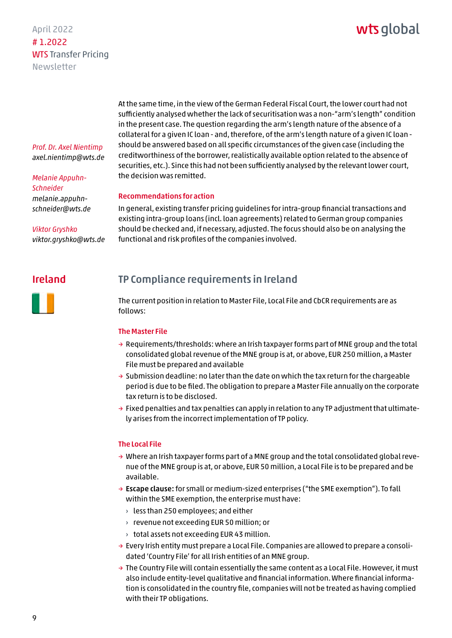# wts alobal

<span id="page-8-0"></span>*Prof. Dr. Axel Nientimp axel.nientimp@wts.de* 

### *Melanie Appuhn-Schneider melanie.appuhn[schneider@wts.de](mailto:melanie.appuhn-schneider@wts.de)*

*Viktor Gryshko viktor.gryshko@wts.de* At the same time, in the view of the German Federal Fiscal Court, the lower court had not sufficiently analysed whether the lack of securitisation was a non-"arm's length" condition in the present case. The question regarding the arm's length nature of the absence of a collateral for a given IC loan - and, therefore, of the arm's length nature of a given IC loan should be answered based on all specific circumstances of the given case (including the creditworthiness of the borrower, realistically available option related to the absence of securities, etc.). Since this had not been sufficiently analysed by the relevant lower court, the decision was remitted.

#### Recommendations for action

In general, existing transfer pricing guidelines for intra-group financial transactions and existing intra-group loans (incl. loan agreements) related to German group companies should be checked and, if necessary, adjusted. The focus should also be on analysing the functional and risk profiles of the companies involved.

# Ireland

# TP Compliance requirements in Ireland

The current position in relation to Master File, Local File and CbCR requirements are as follows:

#### The Master File

- $\rightarrow$  Requirements/thresholds: where an Irish taxpayer forms part of MNE group and the total consolidated global revenue of the MNE group is at, or above, EUR 250 million, a Master File must be prepared and available
- $\rightarrow$  Submission deadline: no later than the date on which the tax return for the chargeable period is due to be filed. The obligation to prepare a Master File annually on the corporate tax return is to be disclosed.
- $\rightarrow$  Fixed penalties and tax penalties can apply in relation to any TP adjustment that ultimately arises from the incorrect implementation of TP policy.

#### The Local File

- $\rightarrow$  Where an Irish taxpayer forms part of a MNE group and the total consolidated global revenue of the MNE group is at, or above, EUR 50 million, a Local File is to be prepared and be available.
- $\rightarrow$  Escape clause: for small or medium-sized enterprises ("the SME exemption"). To fall within the SME exemption, the enterprise must have:
	- $\rightarrow$  less than 250 employees; and either
	- › revenue not exceeding EUR 50 million; or
	- › total assets not exceeding EUR 43 million.
- $\rightarrow$  Every Irish entity must prepare a Local File. Companies are allowed to prepare a consolidated 'Country File' for all Irish entities of an MNE group.
- $\rightarrow$  The Country File will contain essentially the same content as a Local File. However, it must also include entity-level qualitative and financial information. Where financial information is consolidated in the country file, companies will not be treated as having complied with their TP obligations.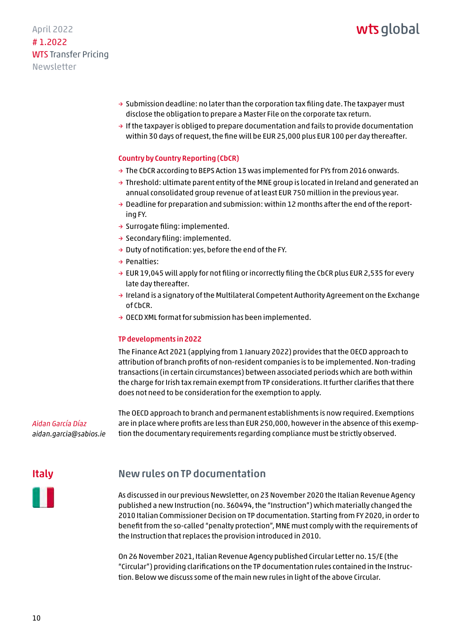# wts alobal

# <span id="page-9-0"></span>April 2022 # 1.2022 WTS Transfer Pricing Newsletter

- $\rightarrow$  Submission deadline: no later than the corporation tax filing date. The taxpayer must disclose the obligation to prepare a Master File on the corporate tax return.
- → If the taxpayer is obliged to prepare documentation and fails to provide documentation within 30 days of request, the fine will be EUR 25,000 plus EUR 100 per day thereafter.

### Country by Country Reporting (CbCR)

- $\rightarrow$  The CbCR according to BEPS Action 13 was implemented for FYs from 2016 onwards.
- $\rightarrow$  Threshold: ultimate parent entity of the MNE group is located in Ireland and generated an annual consolidated group revenue of at least EUR 750 million in the previous year.
- $\rightarrow$  Deadline for preparation and submission: within 12 months after the end of the reporting FY.
- $\rightarrow$  Surrogate filing: implemented.
- → Secondary filing: implemented.
- → Duty of notification: yes, before the end of the FY.
- → Penalties:
- $\rightarrow$  EUR 19,045 will apply for not filing or incorrectly filing the CbCR plus EUR 2,535 for every late day thereafter.
- → Ireland is a signatory of the Multilateral Competent Authority Agreement on the Exchange of CbCR.
- $\rightarrow$  OECD XML format for submission has been implemented.

#### TP developments in 2022

The Finance Act 2021 (applying from 1 January 2022) provides that the OECD approach to attribution of branch profits of non-resident companies is to be implemented. Non-trading transactions (in certain circumstances) between associated periods which are both within the charge for Irish tax remain exempt from TP considerations. It further clarifies that there does not need to be consideration for the exemption to apply.

*Aidan García Díaz aidan.garcia@sabios.ie* The OECD approach to branch and permanent establishments is now required. Exemptions are in place where profits are less than EUR 250,000, however in the absence of this exemption the documentary requirements regarding compliance must be strictly observed.

### Italy

# New rules on TP documentation

As discussed in our previous Newsletter, on 23 November 2020 the Italian Revenue Agency published a new Instruction (no. 360494, the "Instruction") which materially changed the 2010 Italian Commissioner Decision on TP documentation. Starting from FY 2020, in order to benefit from the so-called "penalty protection", MNE must comply with the requirements of the Instruction that replaces the provision introduced in 2010.

On 26 November 2021, Italian Revenue Agency published Circular Letter no. 15/E (the "Circular") providing clarifications on the TP documentation rules contained in the Instruction. Below we discuss some of the main new rules in light of the above Circular.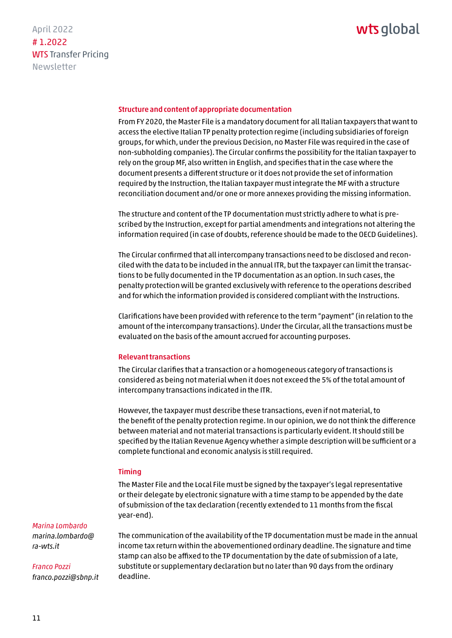#### Structure and content of appropriate documentation

From FY 2020, the Master File is a mandatory document for all Italian taxpayers that want to access the elective Italian TP penalty protection regime (including subsidiaries of foreign groups, for which, under the previous Decision, no Master File was required in the case of non-subholding companies). The Circular confirms the possibility for the Italian taxpayer to rely on the group MF, also written in English, and specifies that in the case where the document presents a different structure or it does not provide the set of information required by the Instruction, the Italian taxpayer must integrate the MF with a structure reconciliation document and/or one or more annexes providing the missing information.

The structure and content of the TP documentation must strictly adhere to what is prescribed by the Instruction, except for partial amendments and integrations not altering the information required (in case of doubts, reference should be made to the OECD Guidelines).

The Circular confirmed that all intercompany transactions need to be disclosed and reconciled with the data to be included in the annual ITR, but the taxpayer can limit the transactions to be fully documented in the TP documentation as an option. In such cases, the penalty protection will be granted exclusively with reference to the operations described and for which the information provided is considered compliant with the Instructions.

Clarifications have been provided with reference to the term "payment" (in relation to the amount of the intercompany transactions). Under the Circular, all the transactions must be evaluated on the basis of the amount accrued for accounting purposes.

#### Relevant transactions

The Circular clarifies that a transaction or a homogeneous category of transactions is considered as being not material when it does not exceed the 5% of the total amount of intercompany transactions indicated in the ITR.

However, the taxpayer must describe these transactions, even if not material, to the benefit of the penalty protection regime. In our opinion, we do not think the difference between material and not material transactions is particularly evident. It should still be specified by the Italian Revenue Agency whether a simple description will be sufficient or a complete functional and economic analysis is still required.

#### Timing

The Master File and the Local File must be signed by the taxpayer's legal representative or their delegate by electronic signature with a time stamp to be appended by the date of submission of the tax declaration (recently extended to 11 months from the fiscal year-end).

#### *Marina Lombardo [marina.lombardo@](mailto:marina.lombardo@ra-wts.it)*

*ra-wts.it*

*Franco Pozzi*

*franco.pozzi@sbnp.it*

The communication of the availability of the TP documentation must be made in the annual income tax return within the abovementioned ordinary deadline. The signature and time stamp can also be affixed to the TP documentation by the date of submission of a late, substitute or supplementary declaration but no later than 90 days from the ordinary deadline.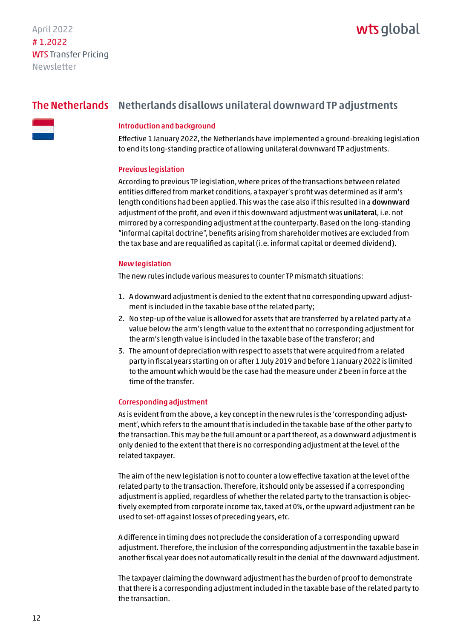# wts global

# <span id="page-11-0"></span>The Netherlands Netherlands disallows unilateral downward TP adjustments

#### Introduction and background

Effective 1 January 2022, the Netherlands have implemented a ground-breaking legislation to end its long-standing practice of allowing unilateral downward TP adjustments.

#### Previous legislation

According to previous TP legislation, where prices of the transactions between related entities differed from market conditions, a taxpayer's profit was determined as if arm's length conditions had been applied. This was the case also if this resulted in a downward adjustment of the profit, and even if this downward adjustment was unilateral, i.e. not mirrored by a corresponding adjustment at the counterparty. Based on the long-standing "informal capital doctrine", benefits arising from shareholder motives are excluded from the tax base and are requalified as capital (i.e. informal capital or deemed dividend).

#### New legislation

The new rules include various measures to counter TP mismatch situations:

- 1. A downward adjustment is denied to the extent that no corresponding upward adjustment is included in the taxable base of the related party;
- 2. No step-up of the value is allowed for assets that are transferred by a related party at a value below the arm's length value to the extent that no corresponding adjustment for the arm's length value is included in the taxable base of the transferor; and
- 3. The amount of depreciation with respect to assets that were acquired from a related party in fiscal years starting on or after 1 July 2019 and before 1 January 2022 is limited to the amount which would be the case had the measure under 2 been in force at the time of the transfer.

#### Corresponding adjustment

As is evident from the above, a key concept in the new rules is the 'corresponding adjustment', which refers to the amount that is included in the taxable base of the other party to the transaction. This may be the full amount or a part thereof, as a downward adjustment is only denied to the extent that there is no corresponding adjustment at the level of the related taxpayer.

The aim of the new legislation is not to counter a low effective taxation at the level of the related party to the transaction. Therefore, it should only be assessed if a corresponding adjustment is applied, regardless of whether the related party to the transaction is objectively exempted from corporate income tax, taxed at 0%, or the upward adjustment can be used to set-off against losses of preceding years, etc.

A difference in timing does not preclude the consideration of a corresponding upward adjustment. Therefore, the inclusion of the corresponding adjustment in the taxable base in another fiscal year does not automatically result in the denial of the downward adjustment.

The taxpayer claiming the downward adjustment has the burden of proof to demonstrate that there is a corresponding adjustment included in the taxable base of the related party to the transaction.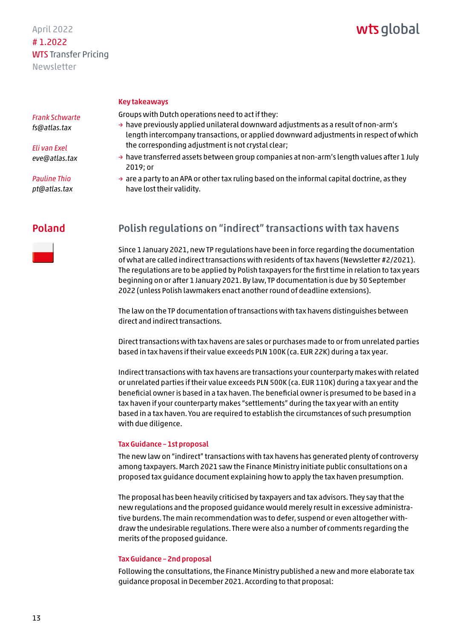# wts global

#### Key takeaways

Groups with Dutch operations need to act if they:

- $\rightarrow$  have previously applied unilateral downward adjustments as a result of non-arm's length intercompany transactions, or applied downward adjustments in respect of which the corresponding adjustment is not crystal clear;
	- $\rightarrow$  have transferred assets between group companies at non-arm's length values after 1 July 2019; or
	- $\rightarrow$  are a party to an APA or other tax ruling based on the informal capital doctrine, as they have lost their validity.

# Poland



Since 1 January 2021, new TP regulations have been in force regarding the documentation of what are called indirect transactions with residents of tax havens (Newsletter #2/2021). The regulations are to be applied by Polish taxpayers for the first time in relation to tax years beginning on or after 1 January 2021. By law, TP documentation is due by 30 September 2022 (unless Polish lawmakers enact another round of deadline extensions).

The law on the TP documentation of transactions with tax havens distinguishes between direct and indirect transactions.

Direct transactions with tax havens are sales or purchases made to or from unrelated parties based in tax havens if their value exceeds PLN 100K (ca. EUR 22K) during a tax year.

Indirect transactions with tax havens are transactions your counterparty makes with related or unrelated parties if their value exceeds PLN 500K (ca. EUR 110K) during a tax year and the beneficial owner is based in a tax haven. The beneficial owner is presumed to be based in a tax haven if your counterparty makes "settlements" during the tax year with an entity based in a tax haven. You are required to establish the circumstances of such presumption with due diligence.

#### Tax Guidance – 1st proposal

The new law on "indirect" transactions with tax havens has generated plenty of controversy among taxpayers. March 2021 saw the Finance Ministry initiate public consultations on a proposed tax guidance document explaining how to apply the tax haven presumption.

The proposal has been heavily criticised by taxpayers and tax advisors. They say that the new regulations and the proposed guidance would merely result in excessive administrative burdens. The main recommendation was to defer, suspend or even altogether withdraw the undesirable regulations. There were also a number of comments regarding the merits of the proposed guidance.

#### Tax Guidance – 2nd proposal

Following the consultations, the Finance Ministry published a new and more elaborate tax guidance proposal in December 2021. According to that proposal:

### <span id="page-12-0"></span>*Frank Schwarte fs@atlas.tax*

*Eli van Exel eve@atlas.tax*

*Pauline Thio pt@atlas.tax*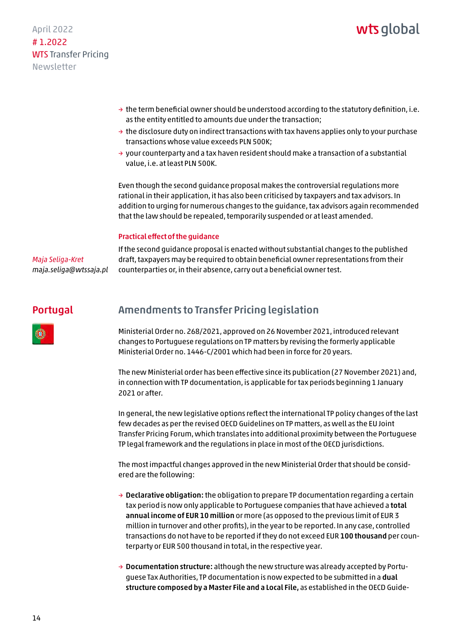- <span id="page-13-0"></span> $\rightarrow$  the term beneficial owner should be understood according to the statutory definition, i.e. as the entity entitled to amounts due under the transaction;
- $\rightarrow$  the disclosure duty on indirect transactions with tax havens applies only to your purchase transactions whose value exceeds PLN 500K;
- $\rightarrow$  your counterparty and a tax haven resident should make a transaction of a substantial value, i.e. at least PLN 500K.

Even though the second guidance proposal makes the controversial regulations more rational in their application, it has also been criticised by taxpayers and tax advisors. In addition to urging for numerous changes to the guidance, tax advisors again recommended that the law should be repealed, temporarily suspended or at least amended.

### Practical effect of the guidance

*Maja Seliga-Kret maja.seliga@wtssaja.pl*  If the second guidance proposal is enacted without substantial changes to the published draft, taxpayers may be required to obtain beneficial owner representations from their counterparties or, in their absence, carry out a beneficial owner test.

#### Amendments to Transfer Pricing legislation Portugal



Ministerial Order no. 268/2021, approved on 26 November 2021, introduced relevant changes to Portuguese regulations on TP matters by revising the formerly applicable Ministerial Order no. 1446-C/2001 which had been in force for 20 years.

The new Ministerial order has been effective since its publication (27 November 2021) and, in connection with TP documentation, is applicable for tax periods beginning 1 January 2021 or after.

In general, the new legislative options reflect the international TP policy changes of the last few decades as per the revised OECD Guidelines on TP matters, as well as the EU Joint Transfer Pricing Forum, which translates into additional proximity between the Portuguese TP legal framework and the regulations in place in most of the OECD jurisdictions.

The most impactful changes approved in the new Ministerial Order that should be considered are the following:

- $\rightarrow$  Declarative obligation: the obligation to prepare TP documentation regarding a certain tax period is now only applicable to Portuguese companies that have achieved a total annual income of EUR 10 million or more (as opposed to the previous limit of EUR 3 million in turnover and other profits), in the year to be reported. In any case, controlled transactions do not have to be reported if they do not exceed EUR 100 thousand per counterparty or EUR 500 thousand in total, in the respective year.
- → Documentation structure: although the new structure was already accepted by Portuguese Tax Authorities, TP documentation is now expected to be submitted in a dual structure composed by a Master File and a Local File, as established in the OECD Guide-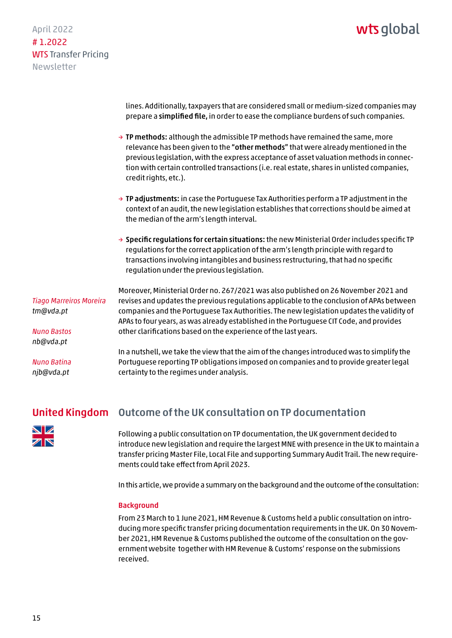<span id="page-14-0"></span>April 2022 # 1.2022 WTS Transfer Pricing Newsletter

> lines. Additionally, taxpayers that are considered small or medium-sized companies may prepare a simplified file, in order to ease the compliance burdens of such companies.

- $\rightarrow$  TP methods: although the admissible TP methods have remained the same, more relevance has been given to the "other methods" that were already mentioned in the previous legislation, with the express acceptance of asset valuation methods in connection with certain controlled transactions (i.e. real estate, shares in unlisted companies, credit rights, etc.).
- $\rightarrow$  TP adjustments: in case the Portuguese Tax Authorities perform a TP adjustment in the context of an audit, the new legislation establishes that corrections should be aimed at the median of the arm's length interval.
- $\rightarrow$  Specific regulations for certain situations: the new Ministerial Order includes specific TP regulations for the correct application of the arm's length principle with regard to transactions involving intangibles and business restructuring, that had no specific regulation under the previous legislation.

*Tiago Marreiros Moreira tm@vda.pt*

*Nuno Bastos nb@vda.pt*

*Nuno Batina njb@vda.pt* 

Moreover, Ministerial Order no. 267/2021 was also published on 26 November 2021 and revises and updates the previous regulations applicable to the conclusion of APAs between companies and the Portuguese Tax Authorities. The new legislation updates the validity of APAs to four years, as was already established in the Portuguese CIT Code, and provides other clarifications based on the experience of the last years.

In a nutshell, we take the view that the aim of the changes introduced was to simplify the Portuguese reporting TP obligations imposed on companies and to provide greater legal certainty to the regimes under analysis.

#### Outcome of the UK consultation on TP documentation United Kingdom



Following a public consultation on TP documentation, the UK government decided to introduce new legislation and require the largest MNE with presence in the UK to maintain a transfer pricing Master File, Local File and supporting Summary Audit Trail. The new requirements could take effect from April 2023.

In this article, we provide a summary on the background and the outcome of the consultation:

#### **Background**

From 23 March to 1 June 2021, HM Revenue & Customs held a public consultation on introducing more specific transfer pricing documentation requirements in the UK. On 30 November 2021, HM Revenue & Customs published the outcome of the consultation on the government website together with HM Revenue & Customs' response on the submissions received.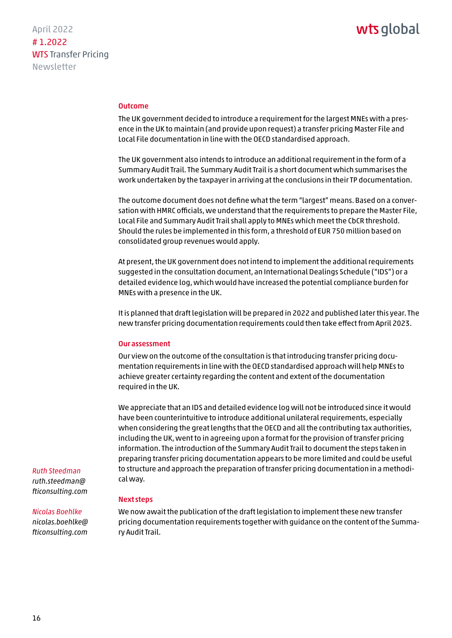#### Outcome

The UK government decided to introduce a requirement for the largest MNEs with a presence in the UK to maintain (and provide upon request) a transfer pricing Master File and Local File documentation in line with the OECD standardised approach.

The UK government also intends to introduce an additional requirement in the form of a Summary Audit Trail. The Summary Audit Trail is a short document which summarises the work undertaken by the taxpayer in arriving at the conclusions in their TP documentation.

The outcome document does not define what the term "largest" means. Based on a conversation with HMRC officials, we understand that the requirements to prepare the Master File, Local File and Summary Audit Trail shall apply to MNEs which meet the CbCR threshold. Should the rules be implemented in this form, a threshold of EUR 750 million based on consolidated group revenues would apply.

At present, the UK government does not intend to implement the additional requirements suggested in the consultation document, an International Dealings Schedule ("IDS") or a detailed evidence log, which would have increased the potential compliance burden for MNEs with a presence in the UK.

It is planned that draft legislation will be prepared in 2022 and published later this year. The new transfer pricing documentation requirements could then take effect from April 2023.

#### Our assessment

Our view on the outcome of the consultation is that introducing transfer pricing documentation requirements in line with the OECD standardised approach will help MNEs to achieve greater certainty regarding the content and extent of the documentation required in the UK.

We appreciate that an IDS and detailed evidence log will not be introduced since it would have been counterintuitive to introduce additional unilateral requirements, especially when considering the great lengths that the OECD and all the contributing tax authorities, including the UK, went to in agreeing upon a format for the provision of transfer pricing information. The introduction of the Summary Audit Trail to document the steps taken in preparing transfer pricing documentation appears to be more limited and could be useful to structure and approach the preparation of transfer pricing documentation in a methodical way.

### Next steps

We now await the publication of the draft legislation to implement these new transfer pricing documentation requirements together with guidance on the content of the Summary Audit Trail.

*Ruth Steedman ruth.steedman@ [fticonsulting.com](mailto:ruth.steedman@fticonsulting.com)*

# *Nicolas Boehlke*

*[nicolas.boehlke@](mailto:nicolas.boehlke@fticonsulting.com) fticonsulting.com*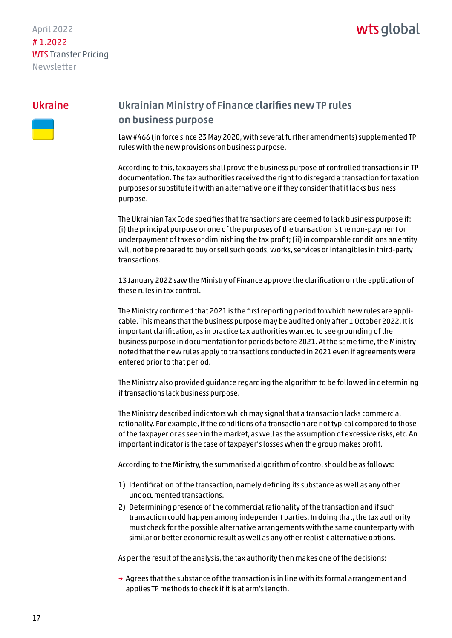# wts global

### <span id="page-16-0"></span>Ukraine



# Ukrainian Ministry of Finance clarifies new TP rules on business purpose

Law #466 (in force since 23 May 2020, with several further amendments) supplemented TP rules with the new provisions on business purpose.

According to this, taxpayers shall prove the business purpose of controlled transactions in TP documentation. The tax authorities received the right to disregard a transaction for taxation purposes or substitute it with an alternative one if they consider that it lacks business purpose.

The Ukrainian Tax Code specifies that transactions are deemed to lack business purpose if: (i) the principal purpose or one of the purposes of the transaction is the non-payment or underpayment of taxes or diminishing the tax profit; (ii) in comparable conditions an entity will not be prepared to buy or sell such goods, works, services or intangibles in third-party transactions.

13 January 2022 saw the Ministry of Finance approve the clarification on the application of these rules in tax control.

The Ministry confirmed that 2021 is the first reporting period to which new rules are applicable. This means that the business purpose may be audited only after 1 October 2022. It is important clarification, as in practice tax authorities wanted to see grounding of the business purpose in documentation for periods before 2021. At the same time, the Ministry noted that the new rules apply to transactions conducted in 2021 even if agreements were entered prior to that period.

The Ministry also provided guidance regarding the algorithm to be followed in determining if transactions lack business purpose.

The Ministry described indicators which may signal that a transaction lacks commercial rationality. For example, if the conditions of a transaction are not typical compared to those of the taxpayer or as seen in the market, as well as the assumption of excessive risks, etc. An important indicator is the case of taxpayer's losses when the group makes profit.

According to the Ministry, the summarised algorithm of control should be as follows:

- 1) Identification of the transaction, namely defining its substance as well as any other undocumented transactions.
- 2) Determining presence of the commercial rationality of the transaction and if such transaction could happen among independent parties. In doing that, the tax authority must check for the possible alternative arrangements with the same counterparty with similar or better economic result as well as any other realistic alternative options.

As per the result of the analysis, the tax authority then makes one of the decisions:

 $\rightarrow$  Agrees that the substance of the transaction is in line with its formal arrangement and applies TP methods to check if it is at arm's length.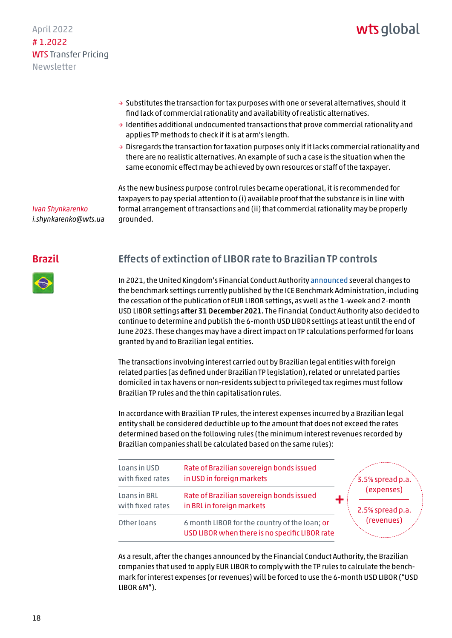# wts alobal

- <span id="page-17-0"></span> $\rightarrow$  Substitutes the transaction for tax purposes with one or several alternatives, should it find lack of commercial rationality and availability of realistic alternatives.
- $\rightarrow$  Identifies additional undocumented transactions that prove commercial rationality and applies TP methods to check if it is at arm's length.
- $\rightarrow$  Disregards the transaction for taxation purposes only if it lacks commercial rationality and there are no realistic alternatives. An example of such a case is the situation when the same economic effect may be achieved by own resources or staff of the taxpayer.

*Ivan Shynkarenko i.shynkarenko@wts.ua*

### Brazil

### As the new business purpose control rules became operational, it is recommended for taxpayers to pay special attention to (i) available proof that the substance is in line with formal arrangement of transactions and (ii) that commercial rationality may be properly grounded.

# Effects of extinction of LIBOR rate to Brazilian TP controls

In 2021, the United Kingdom's Financial Conduct Authorit[y announced se](https://www.fca.org.uk/publication/documents/future-cessation-loss-representativeness-libor-benchmarks.pdf)veral changes to the benchmark settings currently published by the ICE Benchmark Administration, including the cessation of the publication of EUR LIBOR settings, as well as the 1-week and 2-month USD LIBOR settings after 31 December 2021. The Financial Conduct Authority also decided to continue to determine and publish the 6-month USD LIBOR settings at least until the end of June 2023. These changes may have a direct impact on TP calculations performed for loans granted by and to Brazilian legal entities.

The transactions involving interest carried out by Brazilian legal entities with foreign related parties (as defined under Brazilian TP legislation), related or unrelated parties domiciled in tax havens or non-residents subject to privileged tax regimes must follow Brazilian TP rules and the thin capitalisation rules.

In accordance with Brazilian TP rules, the interest expenses incurred by a Brazilian legal entity shall be considered deductible up to the amount that does not exceed the rates determined based on the following rules (the minimum interest revenues recorded by Brazilian companies shall be calculated based on the same rules):

| Loans in USD<br>with fixed rates | Rate of Brazilian sovereign bonds issued<br>in USD in foreign markets                           | 3.5% spread p.a.                             |  |
|----------------------------------|-------------------------------------------------------------------------------------------------|----------------------------------------------|--|
| Loans in BRL<br>with fixed rates | Rate of Brazilian sovereign bonds issued<br>in BRL in foreign markets                           | (expenses)<br>2.5% spread p.a.<br>(revenues) |  |
| Other loans                      | 6 month LIBOR for the country of the loan; or<br>USD LIBOR when there is no specific LIBOR rate |                                              |  |

As a result, after the changes announced by the Financial Conduct Authority, the Brazilian companies that used to apply EUR LIBOR to comply with the TP rules to calculate the benchmark for interest expenses (or revenues) will be forced to use the 6-month USD LIBOR ("USD LIBOR 6M").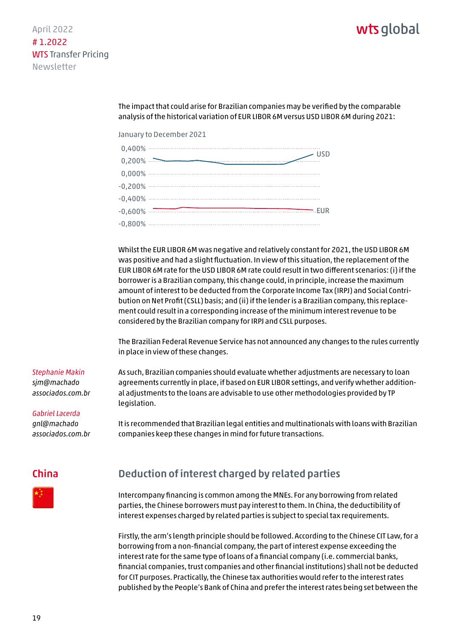# <span id="page-18-0"></span>April 2022 # 1.2022 WTS Transfer Pricing Newsletter

The impact that could arise for Brazilian companies may be verified by the comparable analysis of the historical variation of EUR LIBOR 6M versus USD LIBOR 6M during 2021:

January to December 2021

| 0,400%    | <b>USD</b>             |
|-----------|------------------------|
| 0,200%    |                        |
| 0,000%    | ---------------------- |
| $-0,200%$ |                        |
| $-0,400%$ |                        |
| $-0,600%$ | EUR                    |
| $-0,800%$ |                        |
|           |                        |

Whilst the EUR LIBOR 6M was negative and relatively constant for 2021, the USD LIBOR 6M was positive and had a slight fluctuation. In view of this situation, the replacement of the EUR LIBOR 6M rate for the USD LIBOR 6M rate could result in two different scenarios: (i) if the borrower is a Brazilian company, this change could, in principle, increase the maximum amount of interest to be deducted from the Corporate Income Tax (IRPJ) and Social Contribution on Net Profit (CSLL) basis; and (ii) if the lender is a Brazilian company, this replacement could result in a corresponding increase of the minimum interest revenue to be considered by the Brazilian company for IRPJ and CSLL purposes.

The Brazilian Federal Revenue Service has not announced any changes to the rules currently in place in view of these changes.

#### *Stephanie Makin*

*sjm@machado [associados.com.br](mailto:sjm@machadoassociados.com.br)* As such, Brazilian companies should evaluate whether adjustments are necessary to loan agreements currently in place, if based on EUR LIBOR settings, and verify whether additional adjustments to the loans are advisable to use other methodologies provided by TP legislation.

*Gabriel Lacerda*

*gnl@machado [associados.com.br](mailto:gnl@machadoassociados.com.br)*  It is recommended that Brazilian legal entities and multinationals with loans with Brazilian companies keep these changes in mind for future transactions.

# China



# Deduction of interest charged by related parties

Intercompany financing is common among the MNEs. For any borrowing from related parties, the Chinese borrowers must pay interest to them. In China, the deductibility of interest expenses charged by related parties is subject to special tax requirements.

Firstly, the arm's length principle should be followed. According to the Chinese CIT Law, for a borrowing from a non-financial company, the part of interest expense exceeding the interest rate for the same type of loans of a financial company (i.e. commercial banks, financial companies, trust companies and other financial institutions) shall not be deducted for CIT purposes. Practically, the Chinese tax authorities would refer to the interest rates published by the People's Bank of China and prefer the interest rates being set between the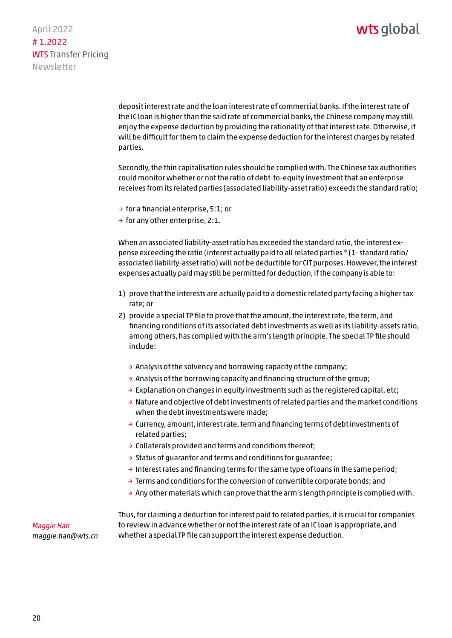April 2022 # 1.2022 WTS Transfer Pricing Newsletter

> deposit interest rate and the loan interest rate of commercial banks. If the interest rate of the IC loan is higher than the said rate of commercial banks, the Chinese company may still enjoy the expense deduction by providing the rationality of that interest rate. Otherwise, it will be difficult for them to claim the expense deduction for the interest charges by related parties.

> Secondly, the thin capitalisation rules should be complied with. The Chinese tax authorities could monitor whether or not the ratio of debt-to-equity investment that an enterprise receives from its related parties (associated liability-asset ratio) exceeds the standard ratio;

- $\rightarrow$  for a financial enterprise, 5:1; or
- $\rightarrow$  for any other enterprise, 2:1.

When an associated liability-asset ratio has exceeded the standard ratio, the interest expense exceeding the ratio (interest actually paid to all related parties \* (1- standard ratio/ associated liability-asset ratio) will not be deductible for CIT purposes. However, the interest expenses actually paid may still be permitted for deduction, if the company is able to:

- 1) prove that the interests are actually paid to a domestic related party facing a higher tax rate; or
- 2) provide a special TP file to prove that the amount, the interest rate, the term, and financing conditions of its associated debt investments as well as its liability-assets ratio, among others, has complied with the arm's length principle. The special TP file should include:
	- $\rightarrow$  Analysis of the solvency and borrowing capacity of the company;
	- $\rightarrow$  Analysis of the borrowing capacity and financing structure of the group;
	- $\rightarrow$  Explanation on changes in equity investments such as the registered capital, etc;
	- $\rightarrow$  Nature and objective of debt investments of related parties and the market conditions when the debt investments were made;
	- → Currency, amount, interest rate, term and financing terms of debt investments of related parties;
	- $\rightarrow$  Collaterals provided and terms and conditions thereof;
	- → Status of guarantor and terms and conditions for guarantee;
	- $\rightarrow$  Interest rates and financing terms for the same type of loans in the same period;
	- $\rightarrow$  Terms and conditions for the conversion of convertible corporate bonds; and
	- $\rightarrow$  Any other materials which can prove that the arm's length principle is complied with.

*Maggie Han maggie.han@wts.cn* Thus, for claiming a deduction for interest paid to related parties, it is crucial for companies to review in advance whether or not the interest rate of an IC loan is appropriate, and whether a special TP file can support the interest expense deduction.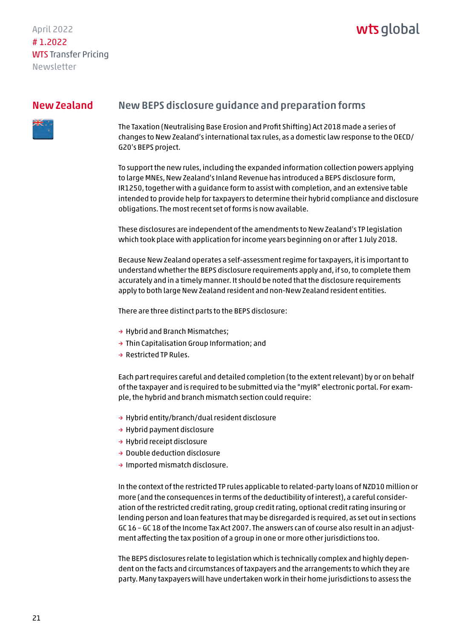# wts global

### <span id="page-20-0"></span>New Zealand



# New BEPS disclosure guidance and preparation forms

The Taxation (Neutralising Base Erosion and Profit Shifting) Act 2018 made a series of changes to New Zealand's international tax rules, as a domestic law response to the OECD/ G20's BEPS project.

To support the new rules, including the expanded information collection powers applying to large MNEs, New Zealand's Inland Revenue has introduced a BEPS disclosure form, IR1250, together with a guidance form to assist with completion, and an extensive table intended to provide help for taxpayers to determine their hybrid compliance and disclosure obligations. The most recent set of forms is now available.

These disclosures are independent of the amendments to New Zealand's TP legislation which took place with application for income years beginning on or after 1 July 2018.

Because New Zealand operates a self-assessment regime for taxpayers, it is important to understand whether the BEPS disclosure requirements apply and, if so, to complete them accurately and in a timely manner. It should be noted that the disclosure requirements apply to both large New Zealand resident and non-New Zealand resident entities.

There are three distinct parts to the BEPS disclosure:

- → Hybrid and Branch Mismatches;
- → Thin Capitalisation Group Information; and
- $\rightarrow$  Restricted TP Rules.

Each part requires careful and detailed completion (to the extent relevant) by or on behalf of the taxpayer and is required to be submitted via the "myIR" electronic portal. For example, the hybrid and branch mismatch section could require:

- → Hybrid entity/branch/dual resident disclosure
- → Hybrid payment disclosure
- → Hybrid receipt disclosure
- → Double deduction disclosure
- → Imported mismatch disclosure.

In the context of the restricted TP rules applicable to related-party loans of NZD10 million or more (and the consequences in terms of the deductibility of interest), a careful consideration of the restricted credit rating, group credit rating, optional credit rating insuring or lending person and loan features that may be disregarded is required, as set out in sections GC 16 – GC 18 of the Income Tax Act 2007. The answers can of course also result in an adjustment affecting the tax position of a group in one or more other jurisdictions too.

The BEPS disclosures relate to legislation which is technically complex and highly dependent on the facts and circumstances of taxpayers and the arrangements to which they are party. Many taxpayers will have undertaken work in their home jurisdictions to assess the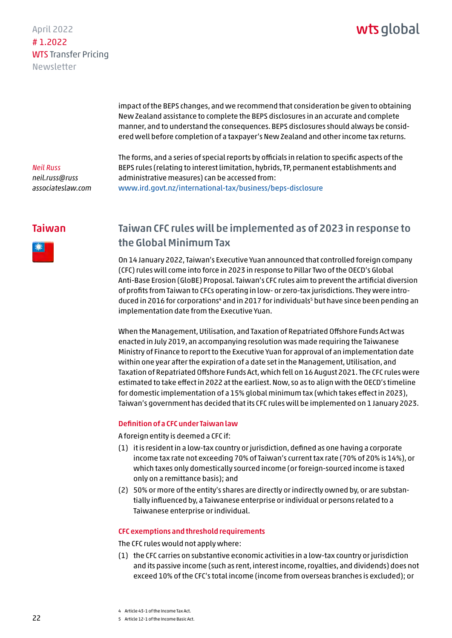# wts global

<span id="page-21-0"></span>impact of the BEPS changes, and we recommend that consideration be given to obtaining New Zealand assistance to complete the BEPS disclosures in an accurate and complete manner, and to understand the consequences. BEPS disclosures should always be considered well before completion of a taxpayer's New Zealand and other income tax returns.

### *Neil Russ neil.russ@russ [associateslaw.com](mailto:neil.russ@russassociateslaw.com)*

The forms, and a series of special reports by officials in relation to specific aspects of the BEPS rules (relating to interest limitation, hybrids, TP, permanent establishments and administrative measures) can be accessed from: www.ird.govt.nz/international-tax/business/beps-disclosure

### Taiwan



# Taiwan CFC rules will be implemented as of 2023 in response to the Global Minimum Tax

On 14 January 2022, Taiwan's Executive Yuan announced that controlled foreign company (CFC) rules will come into force in 2023 in response to Pillar Two of the OECD's Global Anti-Base Erosion (GloBE) Proposal. Taiwan's CFC rules aim to prevent the artificial diversion of profits from Taiwan to CFCs operating in low- or zero-tax jurisdictions. They were introduced in 2016 for corporations<sup>4</sup> and in 2017 for individuals<sup>5</sup> but have since been pending an implementation date from the Executive Yuan.

When the Management, Utilisation, and Taxation of Repatriated Offshore Funds Act was enacted in July 2019, an accompanying resolution was made requiring the Taiwanese Ministry of Finance to report to the Executive Yuan for approval of an implementation date within one year after the expiration of a date set in the Management, Utilisation, and Taxation of Repatriated Offshore Funds Act, which fell on 16 August 2021. The CFC rules were estimated to take effect in 2022 at the earliest. Now, so as to align with the OECD's timeline for domestic implementation of a 15% global minimum tax (which takes effect in 2023), Taiwan's government has decided that its CFC rules will be implemented on 1 January 2023.

#### Definition of a CFC under Taiwan law

A foreign entity is deemed a CFC if:

- (1) it is resident in a low-tax country or jurisdiction, defined as one having a corporate income tax rate not exceeding 70% of Taiwan's current tax rate (70% of 20% is 14%), or which taxes only domestically sourced income (or foreign-sourced income is taxed only on a remittance basis); and
- (2) 50% or more of the entity's shares are directly or indirectly owned by, or are substantially influenced by, a Taiwanese enterprise or individual or persons related to a Taiwanese enterprise or individual.

#### CFC exemptions and threshold requirements

The CFC rules would not apply where:

(1) the CFC carries on substantive economic activities in a low-tax country or jurisdiction and its passive income (such as rent, interest income, royalties, and dividends) does not exceed 10% of the CFC's total income (income from overseas branches is excluded); or

4 Article 43-1 of the Income Tax Act.

5 Article 12-1 of the Income Basic Act.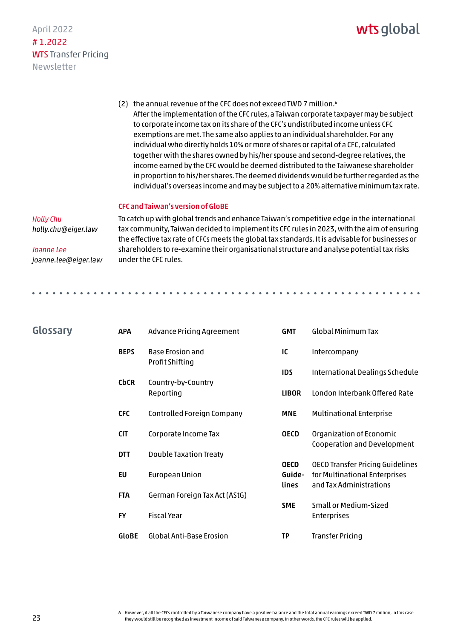# wts global

<span id="page-22-0"></span>(2) the annual revenue of the CFC does not exceed TWD 7 million.6 After the implementation of the CFC rules, a Taiwan corporate taxpayer may be subject to corporate income tax on its share of the CFC's undistributed income unless CFC exemptions are met. The same also applies to an individual shareholder. For any individual who directly holds 10% or more of shares or capital of a CFC, calculated together with the shares owned by his/her spouse and second-degree relatives, the income earned by the CFC would be deemed distributed to the Taiwanese shareholder in proportion to his/her shares. The deemed dividends would be further regarded as the individual's overseas income and may be subject to a 20% alternative minimum tax rate.

#### CFC and Taiwan's version of GloBE

#### *Holly Chu*

*holly.chu@eiger.law*

*joanne.lee@eiger.law*

*Joanne Lee*

Glossary

To catch up with global trends and enhance Taiwan's competitive edge in the international tax community, Taiwan decided to implement its CFC rules in 2023, with the aim of ensuring the effective tax rate of CFCs meets the global tax standards. It is advisable for businesses or shareholders to re-examine their organisational structure and analyse potential tax risks under the CFC rules.

| <b>APA</b>   | Advance Pricing Agreement                  | <b>GMT</b>                            | <b>Global Minimum Tax</b>                                                                           |
|--------------|--------------------------------------------|---------------------------------------|-----------------------------------------------------------------------------------------------------|
| <b>BEPS</b>  | <b>Base Erosion and</b><br>Profit Shifting | IC                                    | Intercompany                                                                                        |
|              |                                            |                                       | International Dealings Schedule                                                                     |
| <b>CbCR</b>  | Country-by-Country<br>Reporting            | <b>LIBOR</b>                          | London Interbank Offered Rate                                                                       |
| <b>CFC</b>   | Controlled Foreign Company                 | <b>MNE</b>                            | <b>Multinational Enterprise</b>                                                                     |
| <b>CIT</b>   | Corporate Income Tax                       | <b>OECD</b>                           | Organization of Economic<br>Cooperation and Development                                             |
| <b>DTT</b>   | <b>Double Taxation Treaty</b>              |                                       |                                                                                                     |
| EU           | European Union                             | <b>OECD</b><br>Guide-<br><b>lines</b> | <b>OECD Transfer Pricing Guidelines</b><br>for Multinational Enterprises<br>and Tax Administrations |
| <b>FTA</b>   | German Foreign Tax Act (AStG)              |                                       |                                                                                                     |
| <b>FY</b>    | <b>Fiscal Year</b>                         | <b>SME</b>                            | Small or Medium-Sized<br><b>Enterprises</b>                                                         |
| <b>GloBE</b> | <b>Global Anti-Base Erosion</b>            | <b>TP</b>                             | <b>Transfer Pricing</b>                                                                             |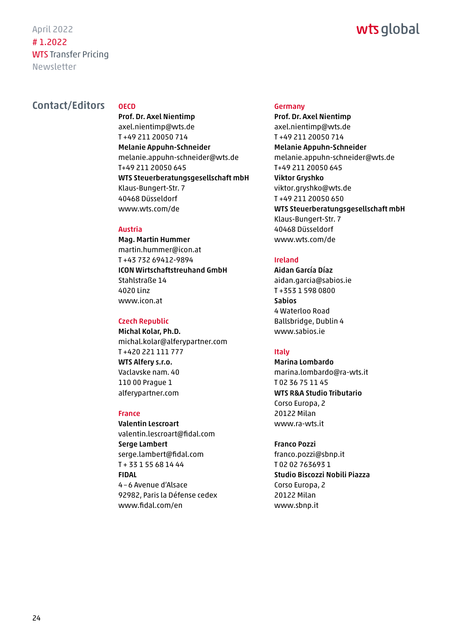# wts global

# <span id="page-23-0"></span>Contact/Editors oECD

Prof. Dr. Axel Nientimp axel.nientimp@wts.de T +49 211 20050 714 Melanie Appuhn-Schneider melanie.appuhn-schneider@wts.de T+49 211 20050 645 WTS Steuerberatungsgesellschaft mbH Klaus-Bungert-Str. 7 40468 Düsseldorf www.wts.com/de

#### Austria

Mag. Martin Hummer martin.hummer@icon.at T +43 732 69412-9894 ICON Wirtschaftstreuhand GmbH Stahlstraße 14 4020 Linz www.icon.at

### Czech Republic

Michal Kolar, Ph.D. michal.kolar@alferypartner.com T +420 221 111 777 WTS Alfery s.r.o. Vaclavske nam. 40 110 00 Prague 1 [alferypartner.com](https://www.alferypartner.com)

#### France

Valentin Lescroart valentin.lescroart@fidal.com Serge Lambert serge.lambert@fidal.com T + 33 1 55 68 14 44 FIDAL 4–6 Avenue d'Alsace 92982, Paris la Défense cedex www.fidal.com/en

#### Germany

Prof. Dr. Axel Nientimp axel.nientimp@wts.de T +49 211 20050 714 Melanie Appuhn-Schneider melanie.appuhn-schneider@wts.de T+49 211 20050 645 Viktor Gryshko viktor.gryshko@wts.de T +49 211 20050 650 WTS Steuerberatungsgesellschaft mbH Klaus-Bungert-Str. 7 40468 Düsseldorf www.wts.com/de

### Ireland

Aidan García Díaz aidan.garcia@sabios.ie T +353 1 598 0800 Sabios 4 Waterloo Road Ballsbridge, Dublin 4 www.sabios.ie

### Italy

Marina Lombardo marina.lombardo@ra-wts.it T 02 36 75 11 45 WTS R&A Studio Tributario Corso Europa, 2 20122 Milan www.ra-wts.it

Franco Pozzi franco.pozzi@sbnp.it T 02 02 763693 1 Studio Biscozzi Nobili Piazza Corso Europa, 2 20122 Milan www.sbnp.it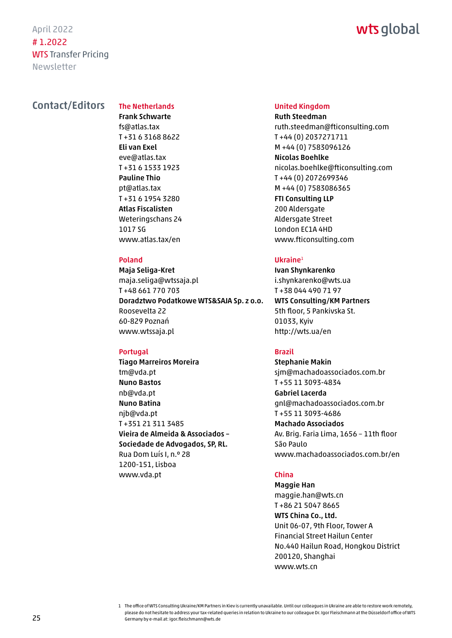# wts global

### Contact/Editors

# The Netherlands

Frank Schwarte fs@atlas.tax T +31 6 3168 8622 Eli van Exel eve@atlas.tax T +31 6 1533 1923 Pauline Thio pt@atlas.tax T +31 6 1954 3280 Atlas Fiscalisten Weteringschans 24 1017 SG www.atlas.tax/en

#### Poland

Maja Seliga-Kret maja.seliga@wtssaja.pl T +48 661 770 703 Doradztwo Podatkowe WTS&SAJA Sp. z o.o. Roosevelta 22 60-829 Poznań www.wtssaja.pl

#### Portugal

Tiago Marreiros Moreira tm@vda.pt Nuno Bastos nb@vda.pt Nuno Batina njb@vda.pt T +351 21 311 3485 Vieira de Almeida & Associados – Sociedade de Advogados, SP, RL. Rua Dom Luís I, n.º 28 1200-151, Lisboa www.vda.pt

#### United Kingdom

Ruth Steedman ruth.steedman@fticonsulting.com T +44 (0) 2037271711 M +44 (0) 7583096126 Nicolas Boehlke nicolas.boehlke@fticonsulting.com T +44 (0) 2072699346 M +44 (0) 7583086365 FTI Consulting LLP 200 Aldersgate Aldersgate Street London EC1A 4HD www.fticonsulting.com

#### Ukraine<sup>1</sup>

Ivan Shynkarenko i.shynkarenko@wts.ua T +38 044 490 71 97 WTS Consulting/KM Partners 5th floor, 5 Pankivska St. 01033, Kyiv http://wts.ua/en

#### Brazil

Stephanie Makin sjm@machadoassociados.com.br T +55 11 3093-4834 Gabriel Lacerda gnl@machadoassociados.com.br T +55 11 3093-4686 Machado Associados Av. Brig. Faria Lima, 1656 – 11th floor São Paulo www.machadoassociados.com.br/en

#### China

Maggie Han maggie.han@wts.cn T +86 21 5047 8665 WTS China Co., Ltd. Unit 06-07, 9th Floor, Tower A Financial Street Hailun Center No.440 Hailun Road, Hongkou District 200120, Shanghai www.wts.cn

<sup>1</sup> The office of WTS Consulting Ukraine/KM Partners in Kiev is currently unavailable. Until our colleagues in Ukraine are able to restore work remotely, please do not hesitate to address your tax-related queries in relation to Ukraine to our colleague Dr. Igor Fleischmann at the Düsseldorf office of WTS Germany by e-mail at: igor.fleischmann@wts.de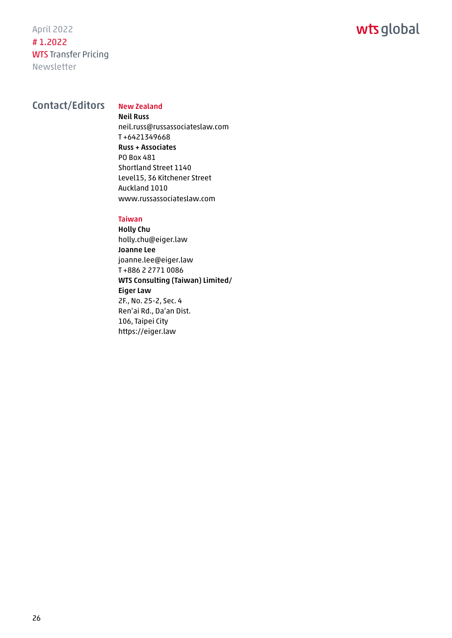April 2022 # 1.2022 WTS Transfer Pricing Newsletter

# Contact/Editors New Zealand

Neil Russ neil.russ@russassociateslaw.com T +6421349668 Russ + Associates PO Box 481 Shortland Street 1140 Level15, 36 Kitchener Street Auckland 1010 www.russassociateslaw.com

#### Taiwan

Holly Chu holly.chu@eiger.law Joanne Lee joanne.lee@eiger.law T +886 2 2771 0086 WTS Consulting (Taiwan) Limited/ Eiger Law 2F., No. 25-2, Sec. 4 Ren'ai Rd., Da'an Dist. 106, Taipei City https://eiger.law